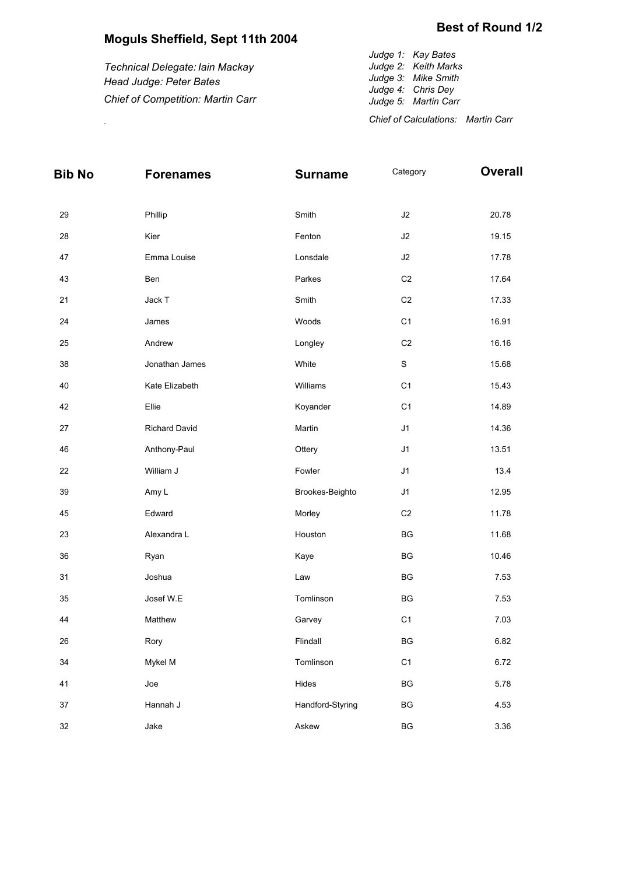## **Moguls Sheffield, Sept 11th 2004**

*Technical Delegate: Iain Mackay Head Judge: Peter Bates Chief of Competition: Martin Carr*

*Judge 1: Kay Bates Judge 2: Keith Marks Judge 3: Mike Smith Judge 4: Chris Dey Judge 5: Martin Carr Chief of Calculations: Martin Carr* .

| <b>Bib No</b> | <b>Forenames</b>     | <b>Surname</b>   | Category       | <b>Overall</b> |
|---------------|----------------------|------------------|----------------|----------------|
| 29            | Phillip              | Smith            | $\sf J2$       | 20.78          |
| 28            | Kier                 | Fenton           | J2             | 19.15          |
| 47            | Emma Louise          | Lonsdale         | J2             | 17.78          |
| 43            | Ben                  | Parkes           | C <sub>2</sub> | 17.64          |
| 21            | Jack T               | Smith            | C <sub>2</sub> | 17.33          |
| 24            | James                | Woods            | C <sub>1</sub> | 16.91          |
| 25            | Andrew               | Longley          | C <sub>2</sub> | 16.16          |
| 38            | Jonathan James       | White            | $\mathbf S$    | 15.68          |
| 40            | Kate Elizabeth       | Williams         | C <sub>1</sub> | 15.43          |
| 42            | Ellie                | Koyander         | C <sub>1</sub> | 14.89          |
| $27\,$        | <b>Richard David</b> | Martin           | J1             | 14.36          |
| 46            | Anthony-Paul         | Ottery           | J1             | 13.51          |
| 22            | William J            | Fowler           | J1             | 13.4           |
| 39            | Amy L                | Brookes-Beighto  | J1             | 12.95          |
| 45            | Edward               | Morley           | $\mbox{C2}$    | 11.78          |
| 23            | Alexandra L          | Houston          | BG             | 11.68          |
| 36            | Ryan                 | Kaye             | BG             | 10.46          |
| 31            | Joshua               | Law              | BG             | 7.53           |
| 35            | Josef W.E            | Tomlinson        | BG             | 7.53           |
| 44            | Matthew              | Garvey           | C <sub>1</sub> | 7.03           |
| 26            | Rory                 | Flindall         | BG             | 6.82           |
| 34            | Mykel M              | Tomlinson        | C <sub>1</sub> | 6.72           |
| 41            | Joe                  | Hides            | BG             | 5.78           |
| 37            | Hannah J             | Handford-Styring | BG             | 4.53           |
| 32            | Jake                 | Askew            | BG             | 3.36           |

## **Best of Round 1/2**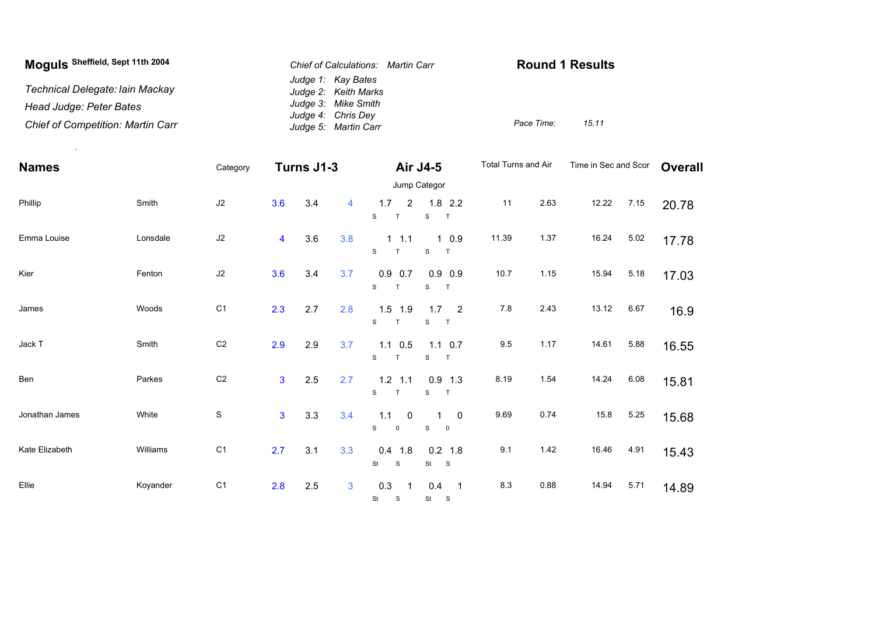| Moguls Sheffield, Sept 11th 2004         | Chief of Calculations: Martin Carr         | <b>Round 1 Results</b> |       |
|------------------------------------------|--------------------------------------------|------------------------|-------|
| Technical Delegate: Iain Mackay          | Judge 1: Kay Bates<br>Judge 2: Keith Marks |                        |       |
| Head Judge: Peter Bates                  | Judge 3: Mike Smith                        |                        |       |
| <b>Chief of Competition: Martin Carr</b> | Judge 4: Chris Dey<br>Judge 5: Martin Carr | Pace Time:             | 15.11 |

| <b>Names</b>   |          | Category       | Turns J1-3     |     |                | <b>Air J4-5</b>                           | Total Turns and Air                                     |       | Time in Sec and Scor |       | <b>Overall</b> |       |  |
|----------------|----------|----------------|----------------|-----|----------------|-------------------------------------------|---------------------------------------------------------|-------|----------------------|-------|----------------|-------|--|
|                |          |                |                |     |                |                                           | Jump Categor                                            |       |                      |       |                |       |  |
| Phillip        | Smith    | J2             | 3.6            | 3.4 | $\overline{4}$ | 1.7<br>$\overline{2}$<br>T<br>S           | $1.8$ 2.2<br>$\mathbf S$<br>T                           | 11    | 2.63                 | 12.22 | 7.15           | 20.78 |  |
| Emma Louise    | Lonsdale | J2             | 4              | 3.6 | 3.8            | $1 \t1.1$<br>S<br>T                       | 10.9<br>$\mathbf S$<br>T                                | 11.39 | 1.37                 | 16.24 | 5.02           | 17.78 |  |
| Kier           | Fenton   | $\sf J2$       | 3.6            | 3.4 | 3.7            | $0.9$ 0.7<br>S<br>$\top$                  | $0.9$ 0.9<br>S<br>T                                     | 10.7  | 1.15                 | 15.94 | 5.18           | 17.03 |  |
| James          | Woods    | C <sub>1</sub> | 2.3            | 2.7 | 2.8            | $1.5$ 1.9<br>S<br>T.                      | $1.7 \t 2$<br>S<br>$\top$                               | 7.8   | 2.43                 | 13.12 | 6.67           | 16.9  |  |
| Jack T         | Smith    | C <sub>2</sub> | 2.9            | 2.9 | 3.7            | $1.1 \t0.5$<br>S<br>T.                    | $1.1 \t0.7$<br>$\mathbf S$<br>T                         | 9.5   | 1.17                 | 14.61 | 5.88           | 16.55 |  |
| Ben            | Parkes   | C <sub>2</sub> | $\overline{3}$ | 2.5 | 2.7            | $1.2$ 1.1<br>S<br>T.                      | $0.9$ 1.3<br>S<br>T                                     | 8.19  | 1.54                 | 14.24 | 6.08           | 15.81 |  |
| Jonathan James | White    | $\mathbb S$    | $\mathbf{3}$   | 3.3 | 3.4            | 1.1<br>$\overline{0}$<br>S<br>$\mathsf 0$ | $\overline{0}$<br>$\mathbf S$<br>$\mathbf 0$            | 9.69  | 0.74                 | 15.8  | 5.25           | 15.68 |  |
| Kate Elizabeth | Williams | C <sub>1</sub> | 2.7            | 3.1 | 3.3            | $0.4$ 1.8<br>St<br>S                      | $0.2$ 1.8<br>St<br>$\mathbf{s}$                         | 9.1   | 1.42                 | 16.46 | 4.91           | 15.43 |  |
| Ellie          | Koyander | C <sub>1</sub> | 2.8            | 2.5 | 3              | 0.3<br>St S                               | 0.4<br>$\overline{\phantom{0}}$ 1<br>St<br>$\mathbf{s}$ | 8.3   | 0.88                 | 14.94 | 5.71           | 14.89 |  |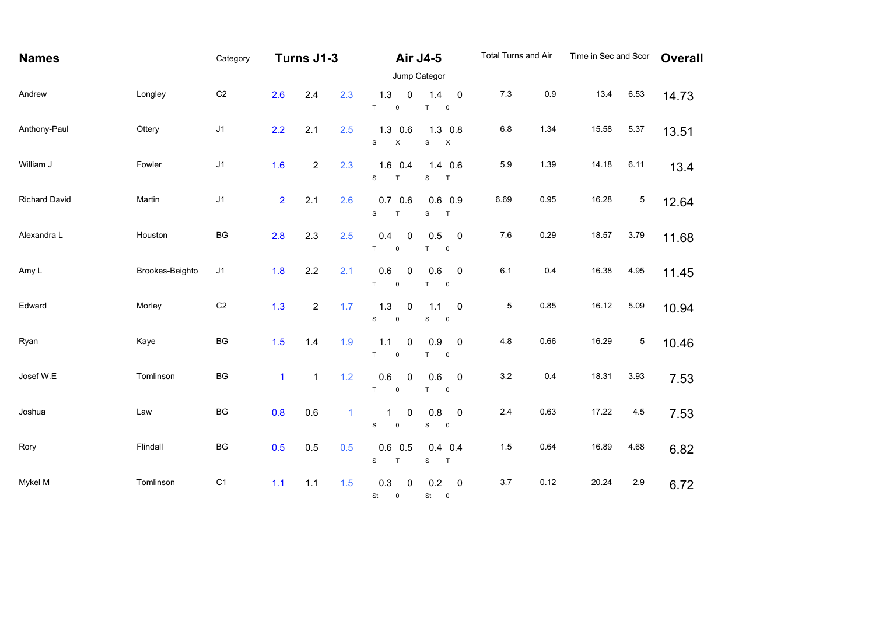| <b>Names</b>         |                 | Category               | Turns J1-3     |                  |              | <b>Air J4-5</b>                                           |                                                       | <b>Total Turns and Air</b> |      | Time in Sec and Scor |             | <b>Overall</b> |  |
|----------------------|-----------------|------------------------|----------------|------------------|--------------|-----------------------------------------------------------|-------------------------------------------------------|----------------------------|------|----------------------|-------------|----------------|--|
|                      |                 |                        | Jump Categor   |                  |              |                                                           |                                                       |                            |      |                      |             |                |  |
| Andrew               | Longley         | C <sub>2</sub>         | 2.6            | 2.4              | 2.3          | 1.3<br>0<br>$\mathsf T$<br>$\mathsf 0$                    | 1.4<br>$\pmb{0}$<br>$\top$<br>$\mathbf 0$             | $7.3$                      | 0.9  | 13.4                 | 6.53        | 14.73          |  |
| Anthony-Paul         | Ottery          | J1                     | 2.2            | 2.1              | 2.5          | $1.3$ 0.6<br>$\mathbf S$<br>X                             | $1.3$ 0.8<br>$\mathbf S$<br>$\boldsymbol{\mathsf{X}}$ | $6.8\,$                    | 1.34 | 15.58                | 5.37        | 13.51          |  |
| William J            | Fowler          | $\sf J1$               | 1.6            | $\mathbf{2}$     | 2.3          | $1.6$ 0.4<br>$\mathbf S$<br>$\top$                        | 1.4 0.6<br>${\mathsf S}$<br>$\top$                    | 5.9                        | 1.39 | 14.18                | 6.11        | 13.4           |  |
| <b>Richard David</b> | Martin          | J <sub>1</sub>         | $\overline{2}$ | 2.1              | 2.6          | $0.7\quad0.6$<br>$\mathbf S$<br>$\top$                    | $0.6$ 0.9<br>$\mathbf S$<br>T                         | 6.69                       | 0.95 | 16.28                | $\mathbf 5$ | 12.64          |  |
| Alexandra L          | Houston         | $\mathsf{B}\mathsf{G}$ | 2.8            | 2.3              | 2.5          | 0.4<br>0<br>T<br>$\pmb{0}$                                | $\pmb{0}$<br>0.5<br>$\top$<br>$\mathbf 0$             | $7.6\,$                    | 0.29 | 18.57                | 3.79        | 11.68          |  |
| Amy L                | Brookes-Beighto | J1                     | 1.8            | 2.2              | 2.1          | 0.6<br>0<br>T<br>$\pmb{0}$                                | $\pmb{0}$<br>0.6<br>$\mathsf T$<br>$\mathbf 0$        | 6.1                        | 0.4  | 16.38                | 4.95        | 11.45          |  |
| Edward               | Morley          | C <sub>2</sub>         | 1.3            | $\boldsymbol{2}$ | 1.7          | 1.3<br>0<br>S<br>$\mathsf{O}\xspace$                      | $\pmb{0}$<br>1.1<br>$\mathbf S$<br>$\mathbf 0$        | 5                          | 0.85 | 16.12                | 5.09        | 10.94          |  |
| Ryan                 | Kaye            | BG                     | 1.5            | 1.4              | 1.9          | $\mathbf 0$<br>1.1<br>$\mathsf{T}$<br>$\mathsf{O}\xspace$ | 0.9<br>$\pmb{0}$<br>$\mathsf T$<br>$\mathsf 0$        | 4.8                        | 0.66 | 16.29                | $\mathbf 5$ | 10.46          |  |
| Josef W.E            | Tomlinson       | BG                     | $\mathbf{1}$   | $\mathbf{1}$     | 1.2          | 0.6<br>0<br>T<br>$\mathsf{O}\xspace$                      | 0.6<br>$\pmb{0}$<br>$\mathsf T$<br>$\pmb{0}$          | $3.2\,$                    | 0.4  | 18.31                | 3.93        | 7.53           |  |
| Joshua               | Law             | BG                     | 0.8            | 0.6              | $\mathbf{1}$ | 0<br>1<br>$\mathbf S$<br>$\mathsf{O}\xspace$              | 0.8<br>$\pmb{0}$<br>$\mathbf S$<br>$\mathsf 0$        | $2.4\,$                    | 0.63 | 17.22                | 4.5         | 7.53           |  |
| Rory                 | Flindall        | BG                     | 0.5            | 0.5              | 0.5          | $0.6$ 0.5<br>${\tt S}$<br>$\top$                          | $0.4$ 0.4<br>T<br>S                                   | 1.5                        | 0.64 | 16.89                | 4.68        | 6.82           |  |
| Mykel M              | Tomlinson       | C <sub>1</sub>         | 1.1            | $1.1$            | 1.5          | 0.3<br>$\pmb{0}$<br><b>St</b><br>$\mathsf{o}$             | 0.2<br>$\pmb{0}$<br>St 0                              | $3.7\,$                    | 0.12 | 20.24                | 2.9         | 6.72           |  |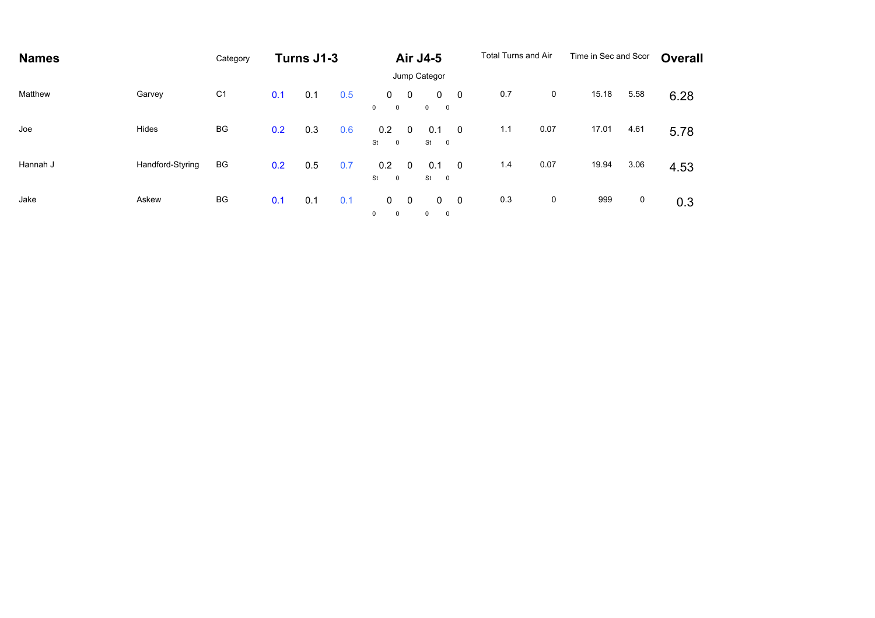| <b>Names</b> |                  | Category       | Turns J1-3 |     |     | <b>Air J4-5</b>                  |                |                                         | <b>Total Turns and Air</b> |     | Time in Sec and Scor |       | <b>Overall</b> |      |  |
|--------------|------------------|----------------|------------|-----|-----|----------------------------------|----------------|-----------------------------------------|----------------------------|-----|----------------------|-------|----------------|------|--|
|              |                  |                |            |     |     |                                  | Jump Categor   |                                         |                            |     |                      |       |                |      |  |
| Matthew      | Garvey           | C <sub>1</sub> | 0.1        | 0.1 | 0.5 | 0<br>$\mathbf{0}$<br>$\mathbf 0$ | $\overline{0}$ | $0\quad 0$<br>$0\qquad 0$               |                            | 0.7 | $\mathsf{O}$         | 15.18 | 5.58           | 6.28 |  |
| Joe          | Hides            | BG             | 0.2        | 0.3 | 0.6 | 0.2<br>St<br>$\mathbf 0$         | 0              | 0.1<br>St<br>$\overline{\phantom{0}}$   | $\overline{\mathbf{0}}$    | 1.1 | 0.07                 | 17.01 | 4.61           | 5.78 |  |
| Hannah J     | Handford-Styring | BG             | 0.2        | 0.5 | 0.7 | 0.2<br>St<br>$\overline{0}$      | $\Omega$       | 0.1<br>St<br>$\overline{\phantom{0}}$   | $\overline{\mathbf{0}}$    | 1.4 | 0.07                 | 19.94 | 3.06           | 4.53 |  |
| Jake         | Askew            | BG             | 0.1        | 0.1 | 0.1 | 0<br>$\mathbf{0}$<br>$^{\circ}$  | $\overline{0}$ | $\mathbf{0}$<br>$\overline{\mathbf{0}}$ | $0\qquad 0$                | 0.3 | 0                    | 999   | 0              | 0.3  |  |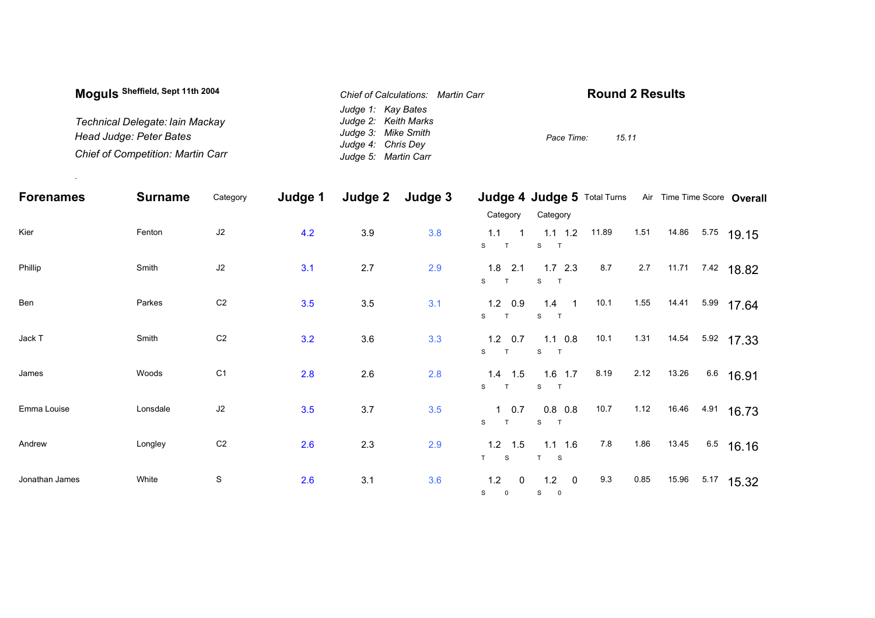| Moguls Sheffield, Sept 11th 2004         | Chief of Calculations: Martin Carr | <b>Round 2 Results</b> |  |  |  |
|------------------------------------------|------------------------------------|------------------------|--|--|--|
|                                          | Judge 1: Kay Bates                 |                        |  |  |  |
| Technical Delegate: Iain Mackay          | Judge 2: Keith Marks               |                        |  |  |  |
| Head Judge: Peter Bates                  | Judge 3: Mike Smith                | 15.11<br>Pace Time:    |  |  |  |
|                                          | Judge 4: Chris Dev                 |                        |  |  |  |
| <b>Chief of Competition: Martin Carr</b> | Judge 5: Martin Carr               |                        |  |  |  |

.

| <b>Forenames</b> | <b>Surname</b> | Category       | Judge 1 | Judge 2 | Judge 3 |                                                                 |                                    |      |      |             | Judge 4 Judge 5 Total Turns Air Time Time Score Overall |
|------------------|----------------|----------------|---------|---------|---------|-----------------------------------------------------------------|------------------------------------|------|------|-------------|---------------------------------------------------------|
|                  |                |                |         |         |         | Category                                                        | Category                           |      |      |             |                                                         |
| Kier             | Fenton         | $\sf J2$       | 4.2     | 3.9     | 3.8     | 1.1<br>$\overline{1}$<br>S<br>T                                 | 1.1 1.2 11.89<br>S<br>$\mathbf{T}$ |      |      | 1.51  14.86 | $5.75$ 19.15                                            |
| Phillip          | Smith          | $\sf J2$       | 3.1     | 2.7     | 2.9     | $1.8$ 2.1<br>S<br>T                                             | $1.7$ 2.3<br>S T                   | 8.7  | 2.7  | 11.71       | <sup>7.42</sup> 18.82                                   |
| Ben              | Parkes         | C <sub>2</sub> | 3.5     | 3.5     | 3.1     | $1.2\quad 0.9$<br>S<br>$\mathsf{T}$                             | $1.4$ 1<br>S T                     | 10.1 | 1.55 | 14.41       | 5.99 17.64                                              |
| Jack T           | Smith          | C <sub>2</sub> | 3.2     | 3.6     | 3.3     | $1.2 \quad 0.7$<br>S<br>T                                       | $1.1 \t0.8$<br>S T                 | 10.1 |      |             | 1.31 14.54 5.92 17.33                                   |
| James            | Woods          | C <sub>1</sub> | 2.8     | 2.6     | 2.8     | $1.4$ 1.5<br>S<br>T                                             | $1.6$ 1.7<br>S T                   | 8.19 | 2.12 | 13.26       | 6.6 16.91                                               |
| Emma Louise      | Lonsdale       | J2             | 3.5     | 3.7     | 3.5     | $1 \t0.7$<br>$\mathsf{s}$<br>T                                  | $0.8\ 0.8$<br>S                    | 10.7 | 1.12 | 16.46       | 4.91 16.73                                              |
| Andrew           | Longley        | C <sub>2</sub> | 2.6     | 2.3     | 2.9     | $1.2$ 1.5<br>T S                                                | $1.1$ 1.6<br>T S                   | 7.8  | 1.86 | 13.45       | $6.5$ 16.16                                             |
| Jonathan James   | White          | S              | 2.6     | 3.1     | 3.6     | 1.2<br>$\overline{\mathbf{0}}$<br>S<br>$\overline{\phantom{0}}$ | $1.2 \t 0$<br>$S \qquad 0$         | 9.3  | 0.85 | 15.96       | $5.17$ 15.32                                            |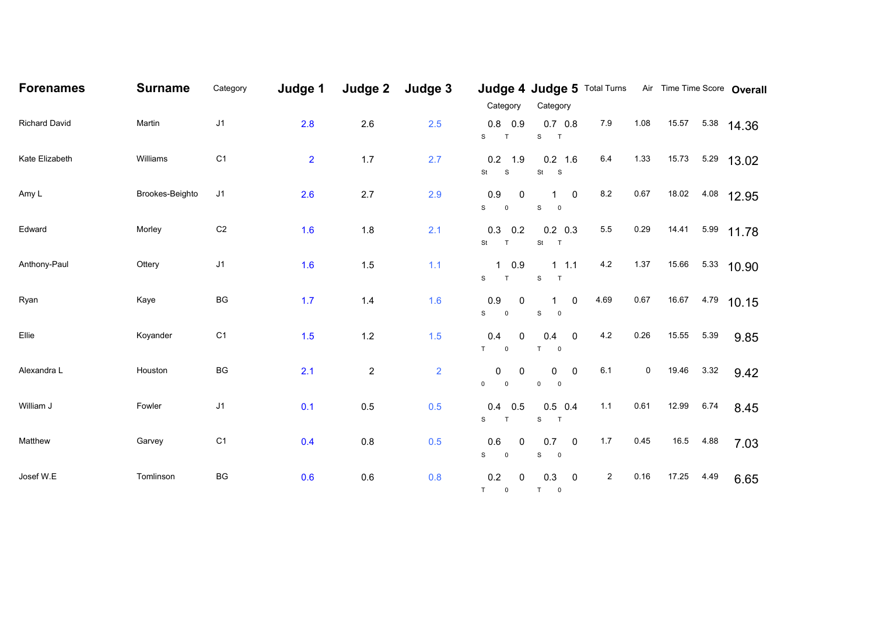| <b>Forenames</b>     | <b>Surname</b>  | Category               | Judge 1        | Judge 2        | Judge 3        | Category                                                       | Judge 4 Judge 5 Total Turns Air Time Time Score Overall<br>Category |                |      |       |      |              |
|----------------------|-----------------|------------------------|----------------|----------------|----------------|----------------------------------------------------------------|---------------------------------------------------------------------|----------------|------|-------|------|--------------|
| <b>Richard David</b> | Martin          | J1                     | 2.8            | 2.6            | 2.5            | 0.8<br>0.9<br>S<br>T                                           | $0.7\ 0.8$<br>$\mathbf S$<br>$\overline{a}$                         | $7.9$          | 1.08 | 15.57 |      | 5.38 14.36   |
| Kate Elizabeth       | Williams        | C <sub>1</sub>         | $\overline{2}$ | $1.7$          | 2.7            | 0.2<br>1.9<br>St<br>S                                          | $0.2$ 1.6<br>$St$ $S$                                               | 6.4            | 1.33 | 15.73 |      | $5.29$ 13.02 |
| Amy L                | Brookes-Beighto | J <sub>1</sub>         | 2.6            | 2.7            | 2.9            | 0.9<br>$\overline{\mathbf{0}}$<br>S<br>$\overline{\mathbf{0}}$ | $\overline{0}$<br>$1 \quad$<br>${\mathsf S}$<br>$\overline{0}$      | $8.2\,$        | 0.67 | 18.02 |      | 4.08 12.95   |
| Edward               | Morley          | $\mathbb{C}2$          | 1.6            | 1.8            | 2.1            | 0.3<br>0.2<br><b>St</b><br>T                                   | $0.2$ 0.3<br>St T                                                   | 5.5            | 0.29 | 14.41 |      | 5.99 11.78   |
| Anthony-Paul         | Ottery          | J1                     | 1.6            | 1.5            | $1.1$          | $1 \t0.9$<br>${\bf S}$<br>$\top$                               | $1 \t1.1$<br>${\tt S}$<br>$\top$                                    | 4.2            | 1.37 | 15.66 |      | 5.33 10.90   |
| Ryan                 | Kaye            | $\mathsf{B}\mathsf{G}$ | 1.7            | $1.4$          | 1.6            | 0.9<br>$\mathbf 0$<br>S<br>$\overline{\mathbf{0}}$             | $\mathsf 0$<br>1<br>${\mathbb S}$<br>$\overline{\phantom{0}}$       | 4.69           | 0.67 | 16.67 |      | $4.79$ 10.15 |
| Ellie                | Koyander        | C <sub>1</sub>         | 1.5            | $1.2$          | $1.5$          | 0.4<br>0<br>T<br>$\overline{\mathbf{0}}$                       | $\mathbf 0$<br>0.4<br>T<br>$\pmb{0}$                                | 4.2            | 0.26 | 15.55 | 5.39 | 9.85         |
| Alexandra L          | Houston         | $\mathsf{B}\mathsf{G}$ | 2.1            | $\overline{2}$ | $\overline{2}$ | 0<br>0<br>$\mathsf{O}\xspace$<br>$\mathsf 0$                   | 0<br>$\mathbf 0$<br>$\mathsf 0$<br>$\pmb{0}$                        | 6.1            | 0    | 19.46 | 3.32 | 9.42         |
| William J            | Fowler          | J <sub>1</sub>         | 0.1            | 0.5            | 0.5            | 0.4<br>0.5<br>S<br>T                                           | $0.5$ 0.4<br>${\mathsf S}$<br>$\overline{a}$                        | 1.1            | 0.61 | 12.99 | 6.74 | 8.45         |
| Matthew              | Garvey          | C <sub>1</sub>         | 0.4            | 0.8            | 0.5            | 0.6<br>$\overline{0}$<br>S<br>$\overline{\mathbf{0}}$          | 0.7 0<br>${\mathsf S}$<br>$\overline{\phantom{0}}$                  | 1.7            | 0.45 | 16.5  | 4.88 | 7.03         |
| Josef W.E            | Tomlinson       | BG                     | 0.6            | 0.6            | 0.8            | 0.2<br>$\pmb{0}$<br>$T \qquad 0$                               | $\overline{\mathbf{0}}$<br>0.3<br>$T$ 0                             | $\overline{a}$ | 0.16 | 17.25 | 4.49 | 6.65         |